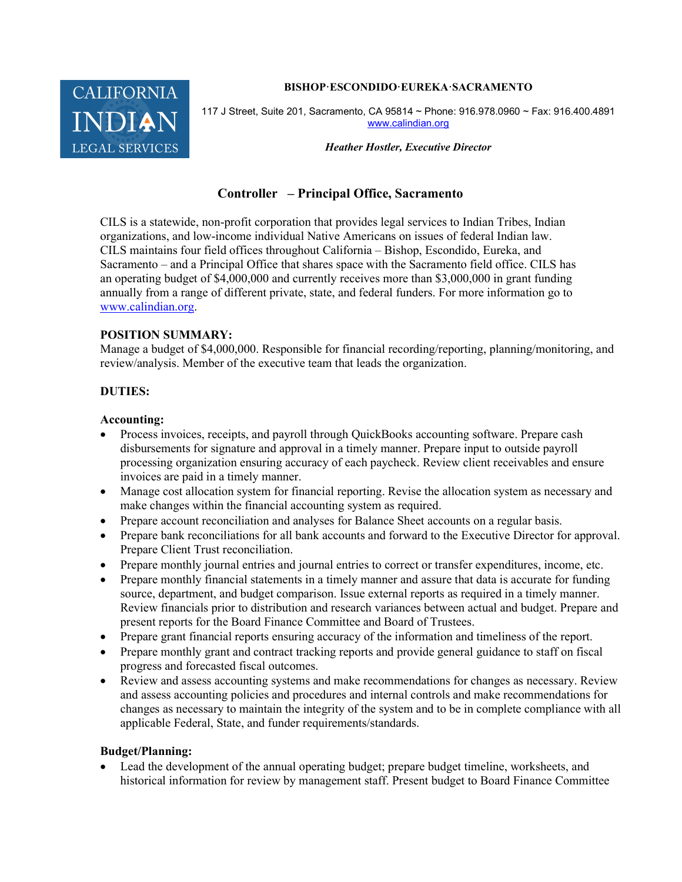#### BISHOP·ESCONDIDO·EUREKA·SACRAMENTO



117 J Street, Suite 201, Sacramento, CA 95814 ~ Phone: 916.978.0960 ~ Fax: 916.400.4891 www.calindian.org

Heather Hostler, Executive Director

# Controller – Principal Office, Sacramento

CILS is a statewide, non-profit corporation that provides legal services to Indian Tribes, Indian organizations, and low-income individual Native Americans on issues of federal Indian law. CILS maintains four field offices throughout California – Bishop, Escondido, Eureka, and Sacramento – and a Principal Office that shares space with the Sacramento field office. CILS has an operating budget of \$4,000,000 and currently receives more than \$3,000,000 in grant funding annually from a range of different private, state, and federal funders. For more information go to www.calindian.org.

#### POSITION SUMMARY:

Manage a budget of \$4,000,000. Responsible for financial recording/reporting, planning/monitoring, and review/analysis. Member of the executive team that leads the organization.

## DUTIES:

#### Accounting:

- Process invoices, receipts, and payroll through QuickBooks accounting software. Prepare cash disbursements for signature and approval in a timely manner. Prepare input to outside payroll processing organization ensuring accuracy of each paycheck. Review client receivables and ensure invoices are paid in a timely manner.
- Manage cost allocation system for financial reporting. Revise the allocation system as necessary and make changes within the financial accounting system as required.
- Prepare account reconciliation and analyses for Balance Sheet accounts on a regular basis.
- Prepare bank reconciliations for all bank accounts and forward to the Executive Director for approval. Prepare Client Trust reconciliation.
- Prepare monthly journal entries and journal entries to correct or transfer expenditures, income, etc.
- Prepare monthly financial statements in a timely manner and assure that data is accurate for funding source, department, and budget comparison. Issue external reports as required in a timely manner. Review financials prior to distribution and research variances between actual and budget. Prepare and present reports for the Board Finance Committee and Board of Trustees.
- Prepare grant financial reports ensuring accuracy of the information and timeliness of the report.
- Prepare monthly grant and contract tracking reports and provide general guidance to staff on fiscal progress and forecasted fiscal outcomes.
- Review and assess accounting systems and make recommendations for changes as necessary. Review and assess accounting policies and procedures and internal controls and make recommendations for changes as necessary to maintain the integrity of the system and to be in complete compliance with all applicable Federal, State, and funder requirements/standards.

#### Budget/Planning:

 Lead the development of the annual operating budget; prepare budget timeline, worksheets, and historical information for review by management staff. Present budget to Board Finance Committee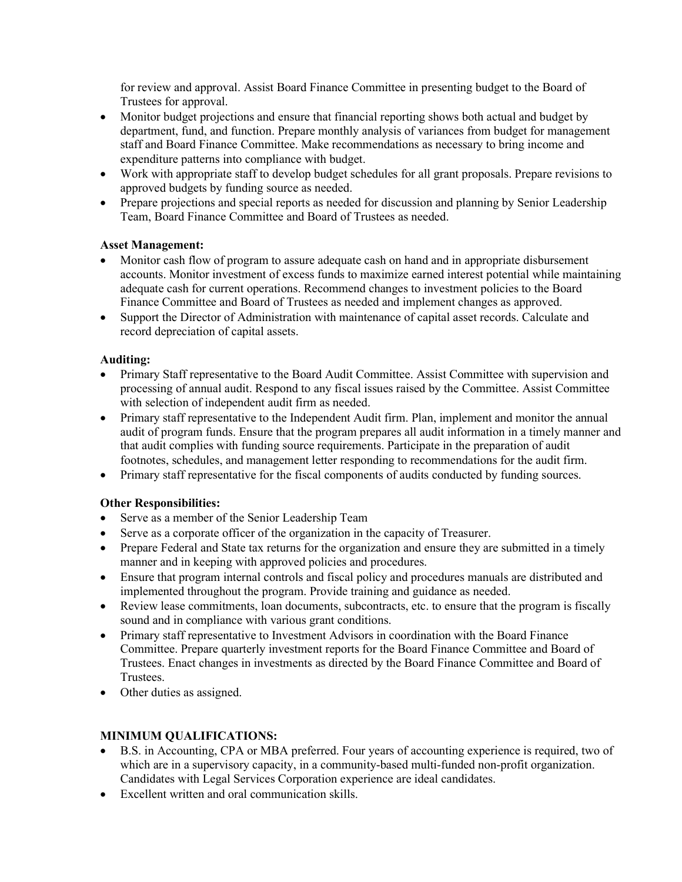for review and approval. Assist Board Finance Committee in presenting budget to the Board of Trustees for approval.

- Monitor budget projections and ensure that financial reporting shows both actual and budget by department, fund, and function. Prepare monthly analysis of variances from budget for management staff and Board Finance Committee. Make recommendations as necessary to bring income and expenditure patterns into compliance with budget.
- Work with appropriate staff to develop budget schedules for all grant proposals. Prepare revisions to approved budgets by funding source as needed.
- Prepare projections and special reports as needed for discussion and planning by Senior Leadership Team, Board Finance Committee and Board of Trustees as needed.

## Asset Management:

- Monitor cash flow of program to assure adequate cash on hand and in appropriate disbursement accounts. Monitor investment of excess funds to maximize earned interest potential while maintaining adequate cash for current operations. Recommend changes to investment policies to the Board Finance Committee and Board of Trustees as needed and implement changes as approved.
- Support the Director of Administration with maintenance of capital asset records. Calculate and record depreciation of capital assets.

## Auditing:

- Primary Staff representative to the Board Audit Committee. Assist Committee with supervision and processing of annual audit. Respond to any fiscal issues raised by the Committee. Assist Committee with selection of independent audit firm as needed.
- Primary staff representative to the Independent Audit firm. Plan, implement and monitor the annual audit of program funds. Ensure that the program prepares all audit information in a timely manner and that audit complies with funding source requirements. Participate in the preparation of audit footnotes, schedules, and management letter responding to recommendations for the audit firm.
- Primary staff representative for the fiscal components of audits conducted by funding sources.

## Other Responsibilities:

- Serve as a member of the Senior Leadership Team
- Serve as a corporate officer of the organization in the capacity of Treasurer.
- Prepare Federal and State tax returns for the organization and ensure they are submitted in a timely manner and in keeping with approved policies and procedures.
- Ensure that program internal controls and fiscal policy and procedures manuals are distributed and implemented throughout the program. Provide training and guidance as needed.
- Review lease commitments, loan documents, subcontracts, etc. to ensure that the program is fiscally sound and in compliance with various grant conditions.
- Primary staff representative to Investment Advisors in coordination with the Board Finance Committee. Prepare quarterly investment reports for the Board Finance Committee and Board of Trustees. Enact changes in investments as directed by the Board Finance Committee and Board of Trustees.
- Other duties as assigned.

## MINIMUM QUALIFICATIONS:

- B.S. in Accounting, CPA or MBA preferred. Four years of accounting experience is required, two of which are in a supervisory capacity, in a community-based multi-funded non-profit organization. Candidates with Legal Services Corporation experience are ideal candidates.
- Excellent written and oral communication skills.